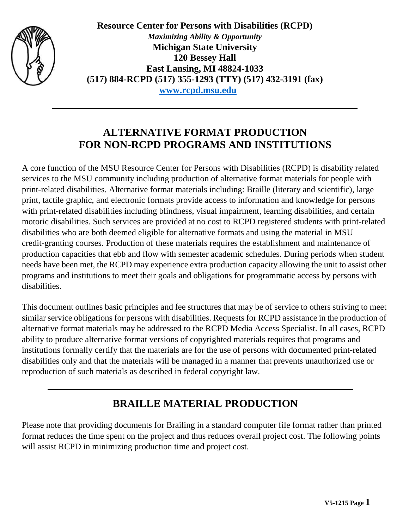

**Resource Center for Persons with Disabilities (RCPD)** *Maximizing Ability & Opportunity* **Michigan State University 120 Bessey Hall East Lansing, MI 48824-1033 (517) 884-RCPD (517) 355-1293 (TTY) (517) 432-3191 (fax) [www.rcpd.msu.edu](http://www.rcpd.msu.edu/)**

### **ALTERNATIVE FORMAT PRODUCTION FOR NON-RCPD PROGRAMS AND INSTITUTIONS**

A core function of the MSU Resource Center for Persons with Disabilities (RCPD) is disability related services to the MSU community including production of alternative format materials for people with print-related disabilities. Alternative format materials including: Braille (literary and scientific), large print, tactile graphic, and electronic formats provide access to information and knowledge for persons with print-related disabilities including blindness, visual impairment, learning disabilities, and certain motoric disabilities. Such services are provided at no cost to RCPD registered students with print-related disabilities who are both deemed eligible for alternative formats and using the material in MSU credit-granting courses. Production of these materials requires the establishment and maintenance of production capacities that ebb and flow with semester academic schedules. During periods when student needs have been met, the RCPD may experience extra production capacity allowing the unit to assist other programs and institutions to meet their goals and obligations for programmatic access by persons with disabilities.

This document outlines basic principles and fee structures that may be of service to others striving to meet similar service obligations for persons with disabilities. Requests for RCPD assistance in the production of alternative format materials may be addressed to the RCPD Media Access Specialist. In all cases, RCPD ability to produce alternative format versions of copyrighted materials requires that programs and institutions formally certify that the materials are for the use of persons with documented print-related disabilities only and that the materials will be managed in a manner that prevents unauthorized use or reproduction of such materials as described in federal copyright law.

# **BRAILLE MATERIAL PRODUCTION**

Please note that providing documents for Brailing in a standard computer file format rather than printed format reduces the time spent on the project and thus reduces overall project cost. The following points will assist RCPD in minimizing production time and project cost.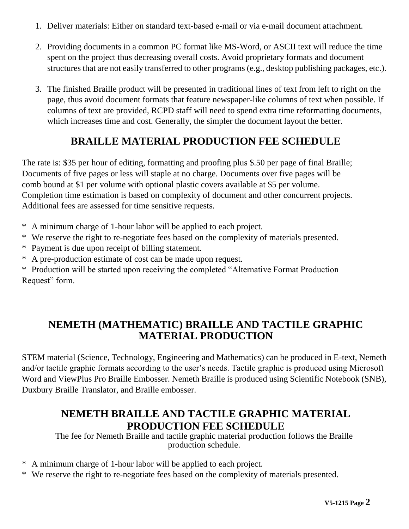- 1. Deliver materials: Either on standard text-based e-mail or via e-mail document attachment.
- 2. Providing documents in a common PC format like MS-Word, or ASCII text will reduce the time spent on the project thus decreasing overall costs. Avoid proprietary formats and document structures that are not easily transferred to other programs (e.g., desktop publishing packages, etc.).
- 3. The finished Braille product will be presented in traditional lines of text from left to right on the page, thus avoid document formats that feature newspaper-like columns of text when possible. If columns of text are provided, RCPD staff will need to spend extra time reformatting documents, which increases time and cost. Generally, the simpler the document layout the better.

# **BRAILLE MATERIAL PRODUCTION FEE SCHEDULE**

The rate is: \$35 per hour of editing, formatting and proofing plus \$.50 per page of final Braille; Documents of five pages or less will staple at no charge. Documents over five pages will be comb bound at \$1 per volume with optional plastic covers available at \$5 per volume. Completion time estimation is based on complexity of document and other concurrent projects. Additional fees are assessed for time sensitive requests.

- \* A minimum charge of 1-hour labor will be applied to each project.
- \* We reserve the right to re-negotiate fees based on the complexity of materials presented.
- \* Payment is due upon receipt of billing statement.
- \* A pre-production estimate of cost can be made upon request.

\* Production will be started upon receiving the completed "Alternative Format Production Request" form.

# **NEMETH (MATHEMATIC) BRAILLE AND TACTILE GRAPHIC MATERIAL PRODUCTION**

STEM material (Science, Technology, Engineering and Mathematics) can be produced in E-text, Nemeth and/or tactile graphic formats according to the user's needs. Tactile graphic is produced using Microsoft Word and ViewPlus Pro Braille Embosser. Nemeth Braille is produced using Scientific Notebook (SNB), Duxbury Braille Translator, and Braille embosser.

### **NEMETH BRAILLE AND TACTILE GRAPHIC MATERIAL PRODUCTION FEE SCHEDULE**

The fee for Nemeth Braille and tactile graphic material production follows the Braille production schedule.

- \* A minimum charge of 1-hour labor will be applied to each project.
- \* We reserve the right to re-negotiate fees based on the complexity of materials presented.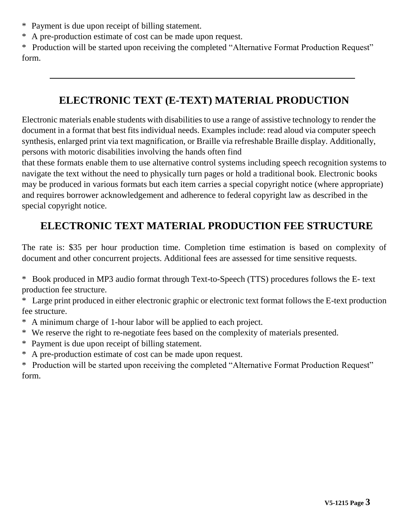- \* Payment is due upon receipt of billing statement.
- \* A pre-production estimate of cost can be made upon request.

\* Production will be started upon receiving the completed "Alternative Format Production Request" form.

### **ELECTRONIC TEXT (E-TEXT) MATERIAL PRODUCTION**

Electronic materials enable students with disabilities to use a range of assistive technology to render the document in a format that best fits individual needs. Examples include: read aloud via computer speech synthesis, enlarged print via text magnification, or Braille via refreshable Braille display. Additionally, persons with motoric disabilities involving the hands often find

that these formats enable them to use alternative control systems including speech recognition systems to navigate the text without the need to physically turn pages or hold a traditional book. Electronic books may be produced in various formats but each item carries a special copyright notice (where appropriate) and requires borrower acknowledgement and adherence to federal copyright law as described in the special copyright notice.

# **ELECTRONIC TEXT MATERIAL PRODUCTION FEE STRUCTURE**

The rate is: \$35 per hour production time. Completion time estimation is based on complexity of document and other concurrent projects. Additional fees are assessed for time sensitive requests.

\* Book produced in MP3 audio format through Text-to-Speech (TTS) procedures follows the E- text production fee structure.

\* Large print produced in either electronic graphic or electronic text format follows the E-text production fee structure.

- \* A minimum charge of 1-hour labor will be applied to each project.
- \* We reserve the right to re-negotiate fees based on the complexity of materials presented.
- \* Payment is due upon receipt of billing statement.
- \* A pre-production estimate of cost can be made upon request.

\* Production will be started upon receiving the completed "Alternative Format Production Request" form.